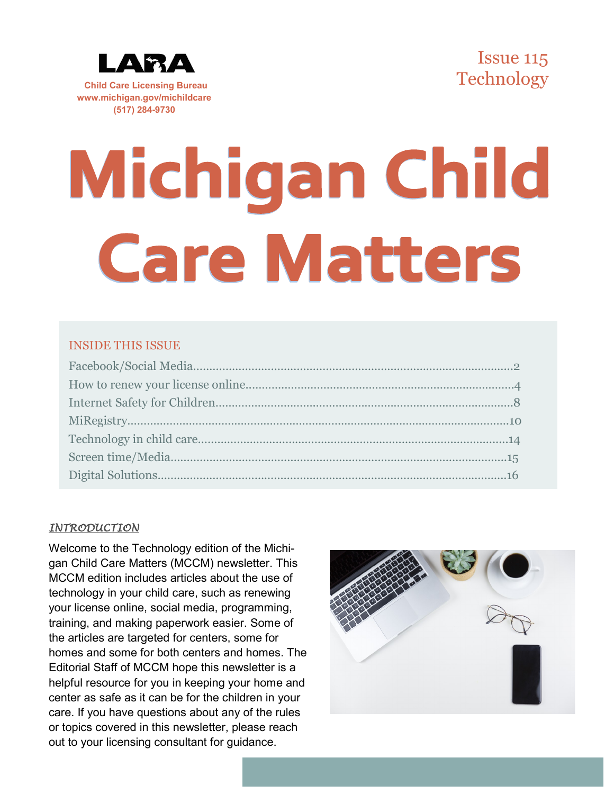

**Child Care Licensing Bureau www.michigan.gov/michildcare (517) 284-9730**



# Michigan Child **Care Matters**

## INSIDE THIS ISSUE

#### *INTRODUCTION*

Welcome to the Technology edition of the Michigan Child Care Matters (MCCM) newsletter. This MCCM edition includes articles about the use of technology in your child care, such as renewing your license online, social media, programming, training, and making paperwork easier. Some of the articles are targeted for centers, some for homes and some for both centers and homes. The Editorial Staff of MCCM hope this newsletter is a helpful resource for you in keeping your home and center as safe as it can be for the children in your care. If you have questions about any of the rules or topics covered in this newsletter, please reach out to your licensing consultant for guidance.

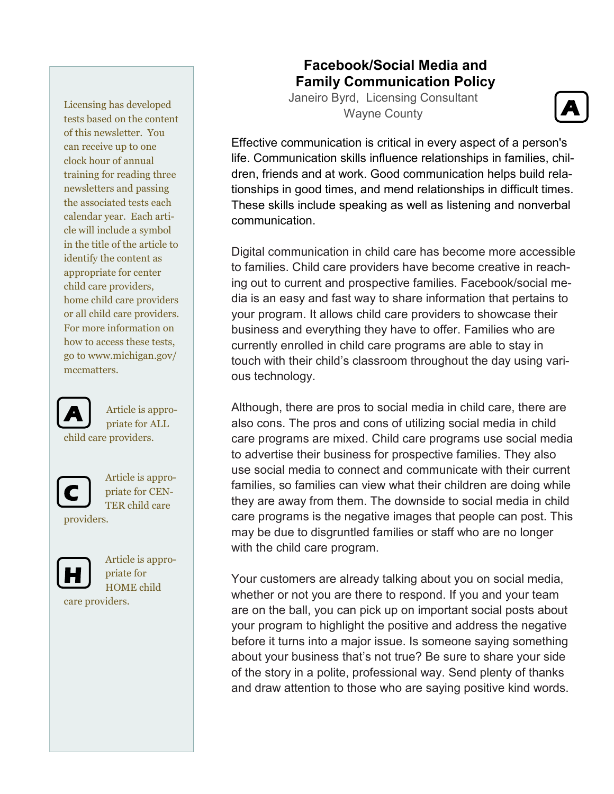Licensing has developed tests based on the content of this newsletter. You can receive up to one clock hour of annual training for reading three newsletters and passing the associated tests each calendar year. Each article will include a symbol in the title of the article to identify the content as appropriate for center child care providers, home child care providers or all child care providers. For more information on how to access these tests, go to www.michigan.gov/ mccmatters.



Article is appropriate for ALL child care providers.



Article is appropriate for CEN-TER child care

providers.



Article is appropriate for HOME child care providers.

# **Facebook/Social Media and Family Communication Policy**

Janeiro Byrd, Licensing Consultant Wayne County



Effective communication is critical in every aspect of a person's life. Communication skills influence relationships in families, children, friends and at work. Good communication helps build relationships in good times, and mend relationships in difficult times. These skills include speaking as well as listening and nonverbal communication.

Digital communication in child care has become more accessible to families. Child care providers have become creative in reaching out to current and prospective families. Facebook/social media is an easy and fast way to share information that pertains to your program. It allows child care providers to showcase their business and everything they have to offer. Families who are currently enrolled in child care programs are able to stay in touch with their child's classroom throughout the day using various technology.

Although, there are pros to social media in child care, there are also cons. The pros and cons of utilizing social media in child care programs are mixed. Child care programs use social media to advertise their business for prospective families. They also use social media to connect and communicate with their current families, so families can view what their children are doing while they are away from them. The downside to social media in child care programs is the negative images that people can post. This may be due to disgruntled families or staff who are no longer with the child care program.

Your customers are already talking about you on social media, whether or not you are there to respond. If you and your team are on the ball, you can pick up on important social posts about your program to highlight the positive and address the negative before it turns into a major issue. Is someone saying something about your business that's not true? Be sure to share your side of the story in a polite, professional way. Send plenty of thanks and draw attention to those who are saying positive kind words.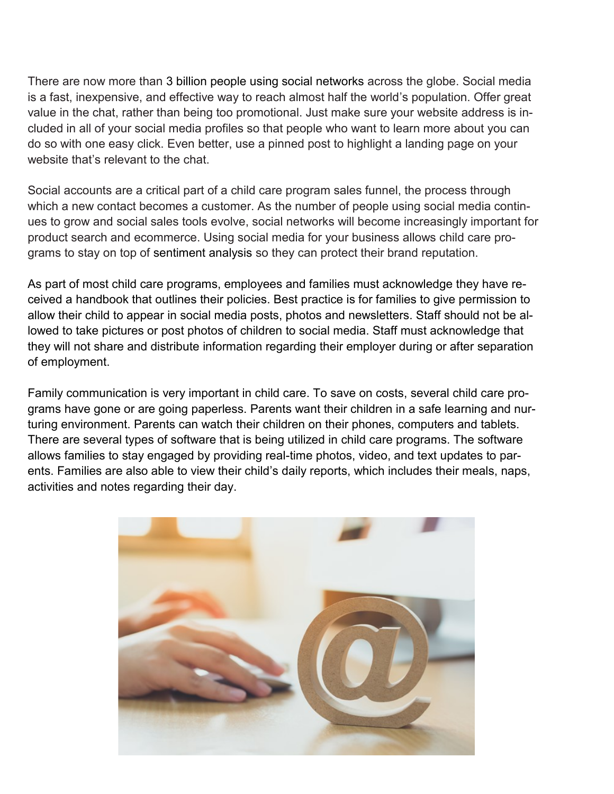There are now more than 3 billion people using social networks across the globe. Social media is a fast, inexpensive, and effective way to reach almost half the world's population. Offer great value in the chat, rather than being too promotional. Just make sure your website address is included in all of your social media profiles so that people who want to learn more about you can do so with one easy click. Even better, use a pinned post to highlight a landing page on your website that's relevant to the chat.

Social accounts are a critical part of a child care program sales funnel, the process through which a new contact becomes a customer. As the number of people using social media continues to grow and social sales tools evolve, social networks will become increasingly important for product search and ecommerce. Using social media for your business allows child care programs to stay on top of sentiment analysis so they can protect their brand reputation.

As part of most child care programs, employees and families must acknowledge they have received a handbook that outlines their policies. Best practice is for families to give permission to allow their child to appear in social media posts, photos and newsletters. Staff should not be allowed to take pictures or post photos of children to social media. Staff must acknowledge that they will not share and distribute information regarding their employer during or after separation of employment.

Family communication is very important in child care. To save on costs, several child care programs have gone or are going paperless. Parents want their children in a safe learning and nurturing environment. Parents can watch their children on their phones, computers and tablets. There are several types of software that is being utilized in child care programs. The software allows families to stay engaged by providing real-time photos, video, and text updates to parents. Families are also able to view their child's daily reports, which includes their meals, naps, activities and notes regarding their day.

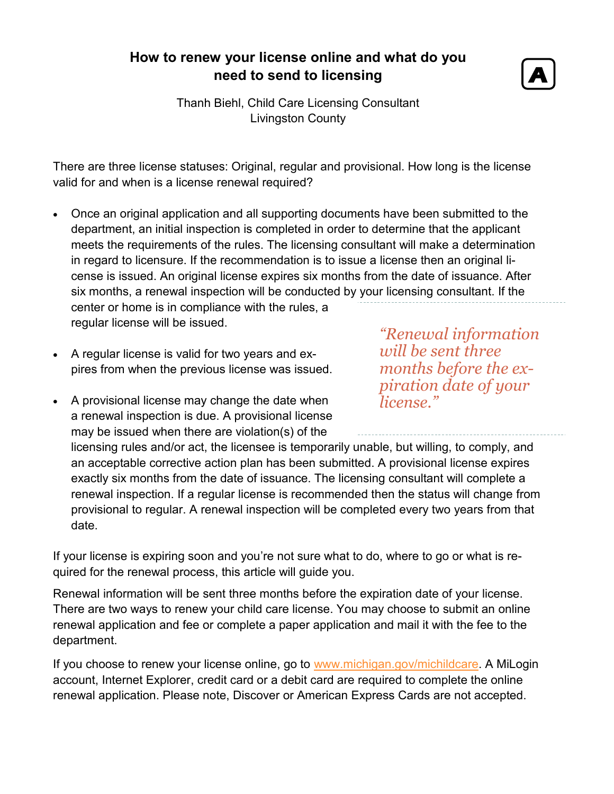# **How to renew your license online and what do you need to send to licensing**



Thanh Biehl, Child Care Licensing Consultant Livingston County

There are three license statuses: Original, regular and provisional. How long is the license valid for and when is a license renewal required?

• Once an original application and all supporting documents have been submitted to the department, an initial inspection is completed in order to determine that the applicant meets the requirements of the rules. The licensing consultant will make a determination in regard to licensure. If the recommendation is to issue a license then an original license is issued. An original license expires six months from the date of issuance. After six months, a renewal inspection will be conducted by your licensing consultant. If the

center or home is in compliance with the rules, a regular license will be issued.

- A regular license is valid for two years and expires from when the previous license was issued.
- A provisional license may change the date when a renewal inspection is due. A provisional license may be issued when there are violation(s) of the

*"Renewal information will be sent three months before the expiration date of your license."* 

licensing rules and/or act, the licensee is temporarily unable, but willing, to comply, and an acceptable corrective action plan has been submitted. A provisional license expires exactly six months from the date of issuance. The licensing consultant will complete a renewal inspection. If a regular license is recommended then the status will change from provisional to regular. A renewal inspection will be completed every two years from that date.

If your license is expiring soon and you're not sure what to do, where to go or what is required for the renewal process, this article will guide you.

Renewal information will be sent three months before the expiration date of your license. There are two ways to renew your child care license. You may choose to submit an online renewal application and fee or complete a paper application and mail it with the fee to the department.

If you choose to renew your license online, go to [www.michigan.gov/michildcare.](http://www.michigan.gov/michildcare) A MiLogin account, Internet Explorer, credit card or a debit card are required to complete the online renewal application. Please note, Discover or American Express Cards are not accepted.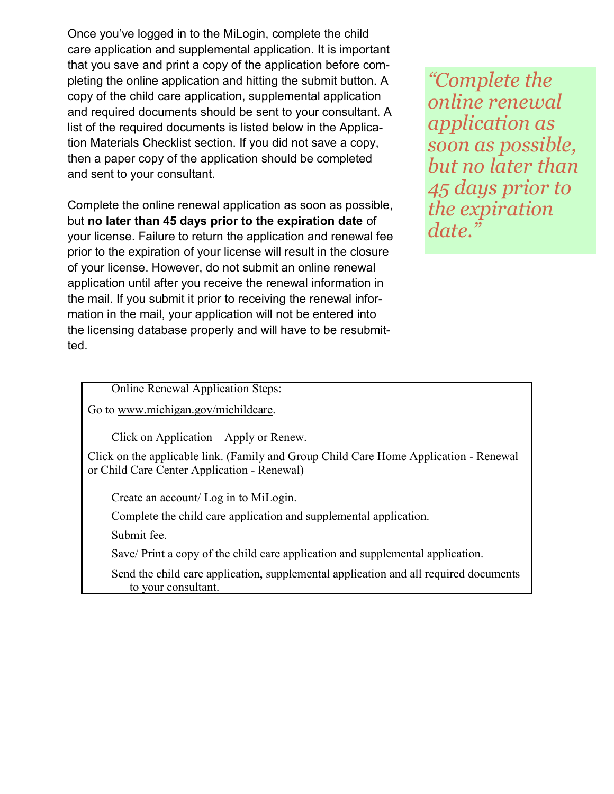Once you've logged in to the MiLogin, complete the child care application and supplemental application. It is important that you save and print a copy of the application before completing the online application and hitting the submit button. A copy of the child care application, supplemental application and required documents should be sent to your consultant. A list of the required documents is listed below in the Application Materials Checklist section. If you did not save a copy, then a paper copy of the application should be completed and sent to your consultant.

Complete the online renewal application as soon as possible, but **no later than 45 days prior to the expiration date** of your license. Failure to return the application and renewal fee prior to the expiration of your license will result in the closure of your license. However, do not submit an online renewal application until after you receive the renewal information in the mail. If you submit it prior to receiving the renewal information in the mail, your application will not be entered into the licensing database properly and will have to be resubmitted.

*"Complete the online renewal application as soon as possible, but no later than 45 days prior to the expiration date."*

#### Online Renewal Application Steps:

Go to [www.michigan.gov/michildcare.](http://www.michigan.gov/michildcare)

Click on Application – Apply or Renew.

Click on the applicable link. ([Family and Group Child Care Home Application](https://www.michigan.gov/lara/0,4601,7-154-63294_5529_49572-240155--,00.html) - Renewal or [Child Care Center Application](https://www.michigan.gov/lara/0,4601,7-154-63294_5529_49572-240155--,00.html) - Renewal)

Create an account/ Log in to MiLogin.

Complete the child care application and supplemental application.

Submit fee.

Save/ Print a copy of the child care application and supplemental application.

Send the child care application, supplemental application and all required documents to your consultant.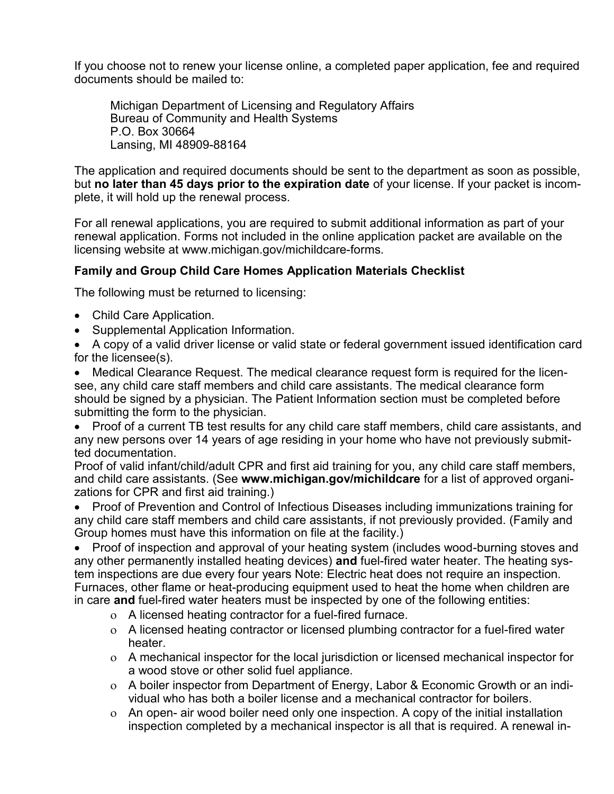If you choose not to renew your license online, a completed paper application, fee and required documents should be mailed to:

Michigan Department of Licensing and Regulatory Affairs Bureau of Community and Health Systems P.O. Box 30664 Lansing, MI 48909-88164

The application and required documents should be sent to the department as soon as possible, but **no later than 45 days prior to the expiration date** of your license. If your packet is incomplete, it will hold up the renewal process.

For all renewal applications, you are required to submit additional information as part of your renewal application. Forms not included in the online application packet are available on the licensing website at [www.michigan.gov/michildcare](http://www.michigan.gov/michildcare-forms)-forms.

## **Family and Group Child Care Homes Application Materials Checklist**

The following must be returned to licensing:

- Child Care Application.
- Supplemental Application Information.

• A copy of a valid driver license or valid state or federal government issued identification card for the licensee(s).

• Medical Clearance Request. The medical clearance request form is required for the licensee, any child care staff members and child care assistants. The medical clearance form should be signed by a physician. The Patient Information section must be completed before submitting the form to the physician.

• Proof of a current TB test results for any child care staff members, child care assistants, and any new persons over 14 years of age residing in your home who have not previously submitted documentation.

Proof of valid infant/child/adult CPR and first aid training for you, any child care staff members, and child care assistants. (See **[www.michigan.gov/michildcare](http://www.michigan.gov/michildcare)** for a list of approved organizations for CPR and first aid training.)

• Proof of Prevention and Control of Infectious Diseases including immunizations training for any child care staff members and child care assistants, if not previously provided. (Family and Group homes must have this information on file at the facility.)

• Proof of inspection and approval of your heating system (includes wood-burning stoves and any other permanently installed heating devices) **and** fuel-fired water heater. The heating system inspections are due every four years Note: Electric heat does not require an inspection. Furnaces, other flame or heat-producing equipment used to heat the home when children are in care **and** fuel-fired water heaters must be inspected by one of the following entities:

- A licensed heating contractor for a fuel-fired furnace.
- A licensed heating contractor or licensed plumbing contractor for a fuel-fired water heater.
- A mechanical inspector for the local jurisdiction or licensed mechanical inspector for a wood stove or other solid fuel appliance.
- A boiler inspector from Department of Energy, Labor & Economic Growth or an individual who has both a boiler license and a mechanical contractor for boilers.
- An open- air wood boiler need only one inspection. A copy of the initial installation inspection completed by a mechanical inspector is all that is required. A renewal in-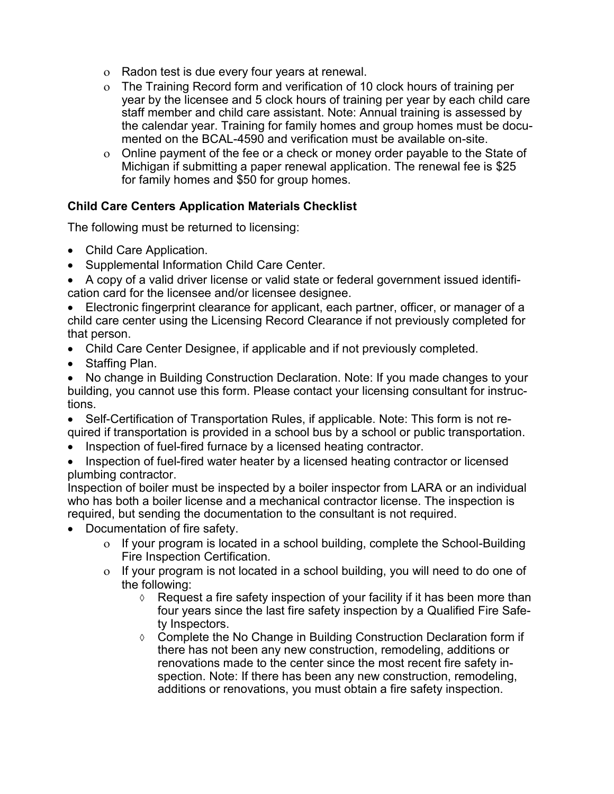- Radon test is due every four years at renewal.
- The Training Record form and verification of 10 clock hours of training per year by the licensee and 5 clock hours of training per year by each child care staff member and child care assistant. Note: Annual training is assessed by the calendar year. Training for family homes and group homes must be documented on the BCAL-4590 and verification must be available on-site.
- Online payment of the fee or a check or money order payable to the State of Michigan if submitting a paper renewal application. The renewal fee is \$25 for family homes and \$50 for group homes.

## **Child Care Centers Application Materials Checklist**

The following must be returned to licensing:

- Child Care Application.
- Supplemental Information Child Care Center.

• A copy of a valid driver license or valid state or federal government issued identification card for the licensee and/or licensee designee.

• Electronic fingerprint clearance for applicant, each partner, officer, or manager of a child care center using the Licensing Record Clearance if not previously completed for that person.

- Child Care Center Designee, if applicable and if not previously completed.
- Staffing Plan.

• No change in Building Construction Declaration. Note: If you made changes to your building, you cannot use this form. Please contact your licensing consultant for instructions.

• Self-Certification of Transportation Rules, if applicable. Note: This form is not required if transportation is provided in a school bus by a school or public transportation.

- Inspection of fuel-fired furnace by a licensed heating contractor.
- Inspection of fuel-fired water heater by a licensed heating contractor or licensed plumbing contractor.

Inspection of boiler must be inspected by a boiler inspector from LARA or an individual who has both a boiler license and a mechanical contractor license. The inspection is required, but sending the documentation to the consultant is not required.

- Documentation of fire safety.
	- o If your program is located in a school building, complete the School-Building Fire Inspection Certification.
	- $\sigma$  If your program is not located in a school building, you will need to do one of the following:
		- $\Diamond$  Request a fire safety inspection of your facility if it has been more than four years since the last fire safety inspection by a [Qualified Fire Safe](http://www.michigan.gov/lara/0,4601,7-154-63294_5529_49572_53751-82388--,00.html)[ty Inspectors.](http://www.michigan.gov/lara/0,4601,7-154-63294_5529_49572_53751-82388--,00.html)
		- ♦ Complete the No Change in Building Construction Declaration form if there has not been any new construction, remodeling, additions or renovations made to the center since the most recent fire safety inspection. Note: If there has been any new construction, remodeling, additions or renovations, you must obtain a fire safety inspection.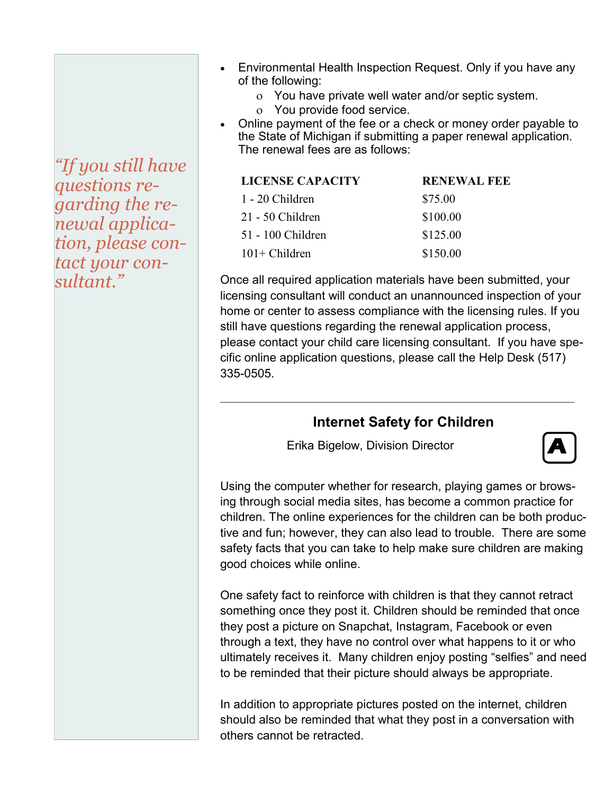*"If you still have questions regarding the renewal application, please contact your consultant."*

- Environmental Health Inspection Request. Only if you have any of the following:
	- You have private well water and/or septic system.
	- You provide food service.
- Online payment of the fee or a check or money order payable to the State of Michigan if submitting a paper renewal application. The renewal fees are as follows:

| LICENSE CAPACITY   | <b>RENEWAL FEE</b> |  |
|--------------------|--------------------|--|
| 1 - 20 Children    | \$75.00            |  |
| $21 - 50$ Children | \$100.00           |  |
| 51 - 100 Children  | \$125.00           |  |
| $101+$ Children    | \$150.00           |  |
|                    |                    |  |

Once all required application materials have been submitted, your licensing consultant will conduct an unannounced inspection of your home or center to assess compliance with the licensing rules. If you still have questions regarding the renewal application process, please contact your child care licensing consultant. If you have specific online application questions, please call the Help Desk (517) 335-0505.

# **Internet Safety for Children**

 $\_$  , and the set of the set of the set of the set of the set of the set of the set of the set of the set of the set of the set of the set of the set of the set of the set of the set of the set of the set of the set of th

Erika Bigelow, Division Director



Using the computer whether for research, playing games or browsing through social media sites, has become a common practice for children. The online experiences for the children can be both productive and fun; however, they can also lead to trouble. There are some safety facts that you can take to help make sure children are making good choices while online.

One safety fact to reinforce with children is that they cannot retract something once they post it. Children should be reminded that once they post a picture on Snapchat, Instagram, Facebook or even through a text, they have no control over what happens to it or who ultimately receives it. Many children enjoy posting "selfies" and need to be reminded that their picture should always be appropriate.

In addition to appropriate pictures posted on the internet, children should also be reminded that what they post in a conversation with others cannot be retracted.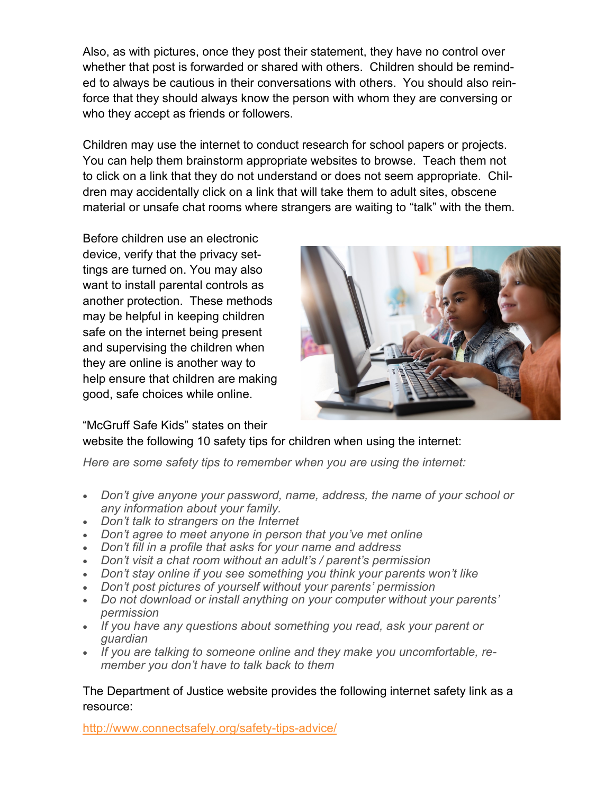Also, as with pictures, once they post their statement, they have no control over whether that post is forwarded or shared with others. Children should be reminded to always be cautious in their conversations with others. You should also reinforce that they should always know the person with whom they are conversing or who they accept as friends or followers.

Children may use the internet to conduct research for school papers or projects. You can help them brainstorm appropriate websites to browse. Teach them not to click on a link that they do not understand or does not seem appropriate. Children may accidentally click on a link that will take them to adult sites, obscene material or unsafe chat rooms where strangers are waiting to "talk" with the them.

Before children use an electronic device, verify that the privacy settings are turned on. You may also want to install parental controls as another protection. These methods may be helpful in keeping children safe on the internet being present and supervising the children when they are online is another way to help ensure that children are making good, safe choices while online.



"McGruff Safe Kids" states on their

website the following 10 safety tips for children when using the internet:

*Here are some safety tips to remember when you are using the internet:*

- *Don't give anyone your password, name, address, the name of your school or any information about your family.*
- *Don't talk to strangers on the Internet*
- *Don't agree to meet anyone in person that you've met online*
- *Don't fill in a profile that asks for your name and address*
- *Don't visit a chat room without an adult's / parent's permission*
- *Don't stay online if you see something you think your parents won't like*
- *Don't post pictures of yourself without your parents' permission*
- *Do not download or install anything on your computer without your parents' permission*
- *If you have any questions about something you read, ask your parent or guardian*
- *If you are talking to someone online and they make you uncomfortable, remember you don't have to talk back to them*

The Department of Justice website provides the following internet safety link as a resource:

[http://www.connectsafely.org/safety](http://www.connectsafely.org/safety-tips-advice/)-tips-advice/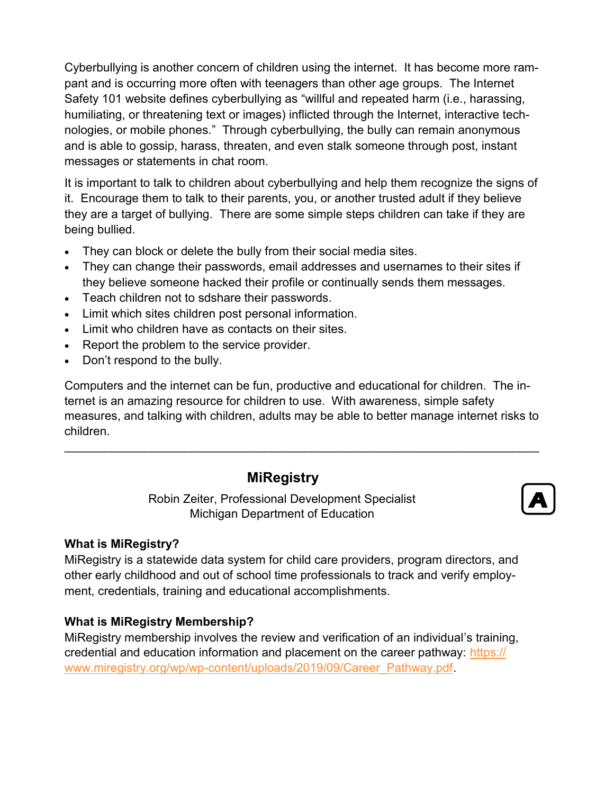Cyberbullying is another concern of children using the internet. It has become more rampant and is occurring more often with teenagers than other age groups. The Internet Safety 101 website defines cyberbullying as "willful and repeated harm (i.e., harassing, humiliating, or threatening text or images) inflicted through the Internet, interactive technologies, or mobile phones." Through cyberbullying, the bully can remain anonymous and is able to gossip, harass, threaten, and even stalk someone through post, instant messages or statements in chat room.

It is important to talk to children about cyberbullying and help them recognize the signs of it. Encourage them to talk to their parents, you, or another trusted adult if they believe they are a target of bullying. There are some simple steps children can take if they are being bullied.

- They can block or delete the bully from their social media sites.
- They can change their passwords, email addresses and usernames to their sites if they believe someone hacked their profile or continually sends them messages.
- Teach children not to sdshare their passwords.
- Limit which sites children post personal information.
- Limit who children have as contacts on their sites.
- Report the problem to the service provider.
- Don't respond to the bully.

Computers and the internet can be fun, productive and educational for children. The internet is an amazing resource for children to use. With awareness, simple safety measures, and talking with children, adults may be able to better manage internet risks to children.

 $\mathcal{L}_\mathcal{L} = \mathcal{L}_\mathcal{L} = \mathcal{L}_\mathcal{L} = \mathcal{L}_\mathcal{L} = \mathcal{L}_\mathcal{L} = \mathcal{L}_\mathcal{L} = \mathcal{L}_\mathcal{L} = \mathcal{L}_\mathcal{L} = \mathcal{L}_\mathcal{L} = \mathcal{L}_\mathcal{L} = \mathcal{L}_\mathcal{L} = \mathcal{L}_\mathcal{L} = \mathcal{L}_\mathcal{L} = \mathcal{L}_\mathcal{L} = \mathcal{L}_\mathcal{L} = \mathcal{L}_\mathcal{L} = \mathcal{L}_\mathcal{L}$ 

# **MiRegistry**

Robin Zeiter, Professional Development Specialist Michigan Department of Education



## **What is MiRegistry?**

MiRegistry is a statewide data system for child care providers, program directors, and other early childhood and out of school time professionals to track and verify employment, credentials, training and educational accomplishments.

## **What is MiRegistry Membership?**

MiRegistry membership involves the review and verification of an individual's training, credential and education information and placement on the career pathway: [https://](https://www.miregistry.org/wp/wp-content/uploads/2019/09/Career_Pathway.pdf) www.miregistry.org/wp/wp-[content/uploads/2019/09/Career\\_Pathway.pdf.](https://www.miregistry.org/wp/wp-content/uploads/2019/09/Career_Pathway.pdf)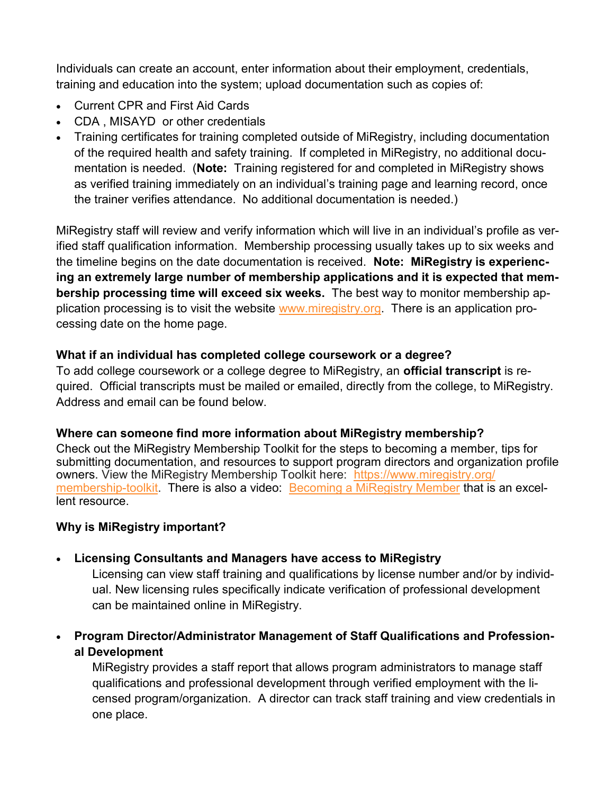Individuals can create an account, enter information about their employment, credentials, training and education into the system; upload documentation such as copies of:

- Current CPR and First Aid Cards
- CDA , MISAYD or other credentials
- Training certificates for training completed outside of MiRegistry, including documentation of the required health and safety training. If completed in MiRegistry, no additional documentation is needed. (**Note:** Training registered for and completed in MiRegistry shows as verified training immediately on an individual's training page and learning record, once the trainer verifies attendance. No additional documentation is needed.)

MiRegistry staff will review and verify information which will live in an individual's profile as verified staff qualification information. Membership processing usually takes up to six weeks and the timeline begins on the date documentation is received. **Note: MiRegistry is experiencing an extremely large number of membership applications and it is expected that membership processing time will exceed six weeks.** The best way to monitor membership application processing is to visit the website [www.miregistry.org.](http://www.miregistry.org) There is an application processing date on the home page.

## **What if an individual has completed college coursework or a degree?**

To add college coursework or a college degree to MiRegistry, an **official transcript** is required. Official transcripts must be mailed or emailed, directly from the college, to MiRegistry. Address and email can be found below.

## **Where can someone find more information about MiRegistry membership?**

Check out the MiRegistry Membership Toolkit for the steps to becoming a member, tips for submitting documentation, and resources to support program directors and organization profile owners. View the MiRegistry Membership Toolkit here: [https://www.miregistry.org/](https://gcc01.safelinks.protection.outlook.com/?url=https%3A%2F%2Fwww.miregistry.org%2Fmembership-toolkit&data=02%7C01%7CZeiterR%40michigan.gov%7C2d9a25d4a1a7496bddba08d7ae665784%7Cd5fb7087377742ad966a892ef47225d1%7C0%7C0%7C637169626884244951&sdata=3solae0Fbf) [membership](https://gcc01.safelinks.protection.outlook.com/?url=https%3A%2F%2Fwww.miregistry.org%2Fmembership-toolkit&data=02%7C01%7CZeiterR%40michigan.gov%7C2d9a25d4a1a7496bddba08d7ae665784%7Cd5fb7087377742ad966a892ef47225d1%7C0%7C0%7C637169626884244951&sdata=3solae0Fbf)-toolkit. There is also a video: [Becoming a MiRegistry Member](https://www.youtube.com/watch?app=desktop&v=CMMtcMv1bAk&feature=youtu.be) that is an excellent resource.

## **Why is MiRegistry important?**

# • **Licensing Consultants and Managers have access to MiRegistry**

Licensing can view staff training and qualifications by license number and/or by individual. New licensing rules specifically indicate verification of professional development can be maintained online in MiRegistry.

• **Program Director/Administrator Management of Staff Qualifications and Professional Development** 

MiRegistry provides a staff report that allows program administrators to manage staff qualifications and professional development through verified employment with the licensed program/organization. A director can track staff training and view credentials in one place.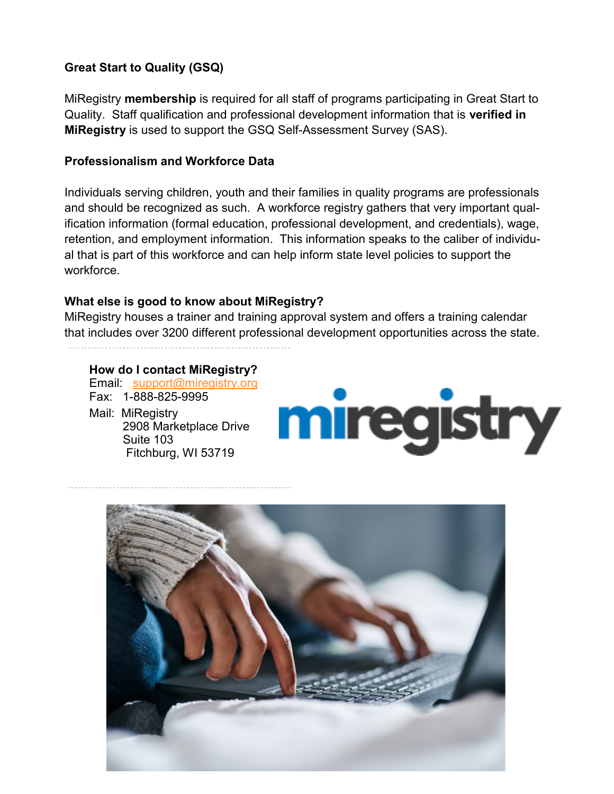# **Great Start to Quality (GSQ)**

MiRegistry **membership** is required for all staff of programs participating in Great Start to Quality. Staff qualification and professional development information that is **verified in MiRegistry** is used to support the GSQ Self-Assessment Survey (SAS).

## **Professionalism and Workforce Data**

Individuals serving children, youth and their families in quality programs are professionals and should be recognized as such. A workforce registry gathers that very important qualification information (formal education, professional development, and credentials), wage, retention, and employment information. This information speaks to the caliber of individual that is part of this workforce and can help inform state level policies to support the workforce.

## **What else is good to know about MiRegistry?**

MiRegistry houses a trainer and training approval system and offers a training calendar that includes over 3200 different professional development opportunities across the state.

#### **How do I contact MiRegistry?**

Email: [support@miregistry.org](mailto:support@miregistry.org) Fax: 1-888-825-9995 Mail: MiRegistry 2908 Marketplace Drive

Fitchburg, WI 53719

Suite 103

miregistry

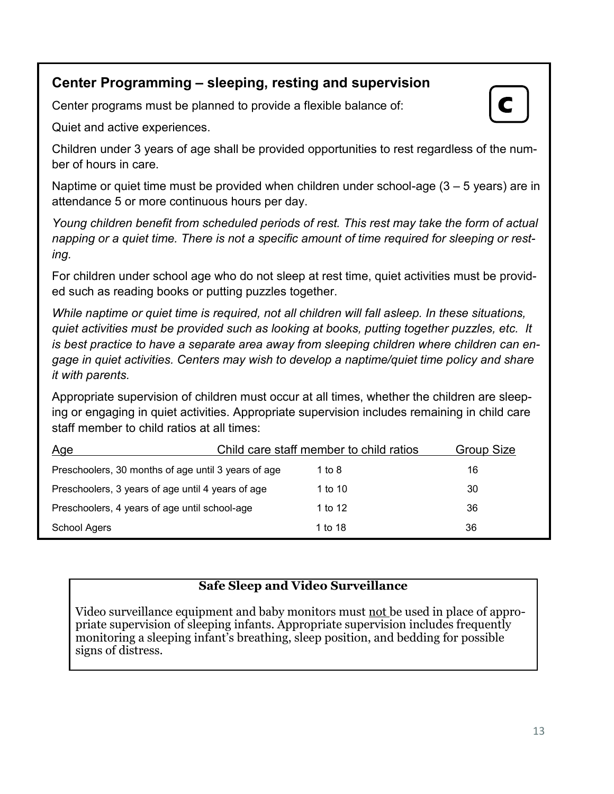# **Center Programming – sleeping, resting and supervision**

Center programs must be planned to provide a flexible balance of:

Quiet and active experiences.

Children under 3 years of age shall be provided opportunities to rest regardless of the number of hours in care.

Naptime or quiet time must be provided when children under school-age  $(3 - 5$  years) are in attendance 5 or more continuous hours per day.

*Young children benefit from scheduled periods of rest. This rest may take the form of actual napping or a quiet time. There is not a specific amount of time required for sleeping or resting.* 

For children under school age who do not sleep at rest time, quiet activities must be provided such as reading books or putting puzzles together.

*While naptime or quiet time is required, not all children will fall asleep. In these situations, quiet activities must be provided such as looking at books, putting together puzzles, etc. It is best practice to have a separate area away from sleeping children where children can engage in quiet activities. Centers may wish to develop a naptime/quiet time policy and share it with parents.*

Appropriate supervision of children must occur at all times, whether the children are sleeping or engaging in quiet activities. Appropriate supervision includes remaining in child care staff member to child ratios at all times:

| <u>Age</u>                                          | Child care staff member to child ratios |         | Group Size |
|-----------------------------------------------------|-----------------------------------------|---------|------------|
| Preschoolers, 30 months of age until 3 years of age |                                         | 1 to 8  | 16         |
| Preschoolers, 3 years of age until 4 years of age   |                                         | 1 to 10 | 30         |
| Preschoolers, 4 years of age until school-age       |                                         | 1 to 12 | 36         |
| School Agers                                        |                                         | 1 to 18 | 36         |

# **Safe Sleep and Video Surveillance**

Video surveillance equipment and baby monitors must not be used in place of appropriate supervision of sleeping infants. Appropriate supervision includes frequently monitoring a sleeping infant's breathing, sleep position, and bedding for possible signs of distress.

**C**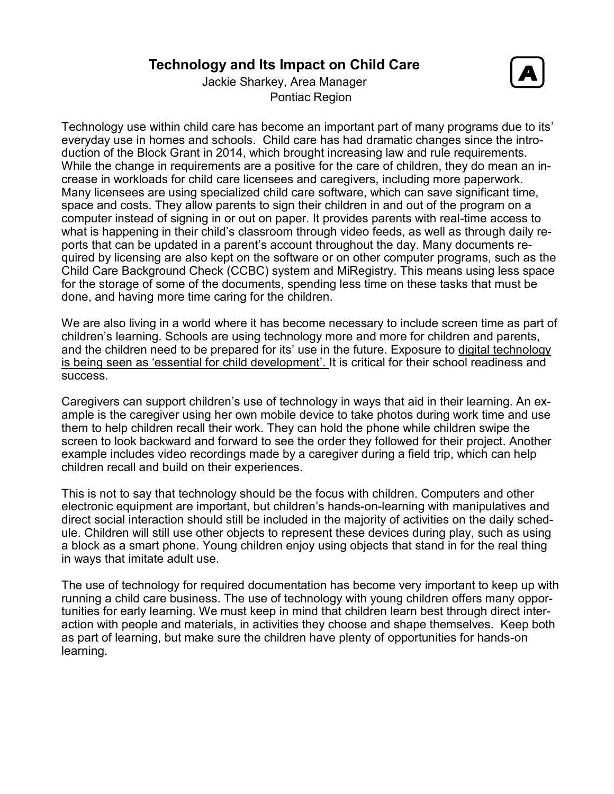# **Technology and Its Impact on Child Care**



Jackie Sharkey, Area Manager Pontiac Region

Technology use within child care has become an important part of many programs due to its' everyday use in homes and schools. Child care has had dramatic changes since the introduction of the Block Grant in 2014, which brought increasing law and rule requirements. While the change in requirements are a positive for the care of children, they do mean an increase in workloads for child care licensees and caregivers, including more paperwork. Many licensees are using specialized child care software, which can save significant time, space and costs. They allow parents to sign their children in and out of the program on a computer instead of signing in or out on paper. It provides parents with real-time access to what is happening in their child's classroom through video feeds, as well as through daily reports that can be updated in a parent's account throughout the day. Many documents required by licensing are also kept on the software or on other computer programs, such as the Child Care Background Check (CCBC) system and MiRegistry. This means using less space for the storage of some of the documents, spending less time on these tasks that must be done, and having more time caring for the children.

We are also living in a world where it has become necessary to include screen time as part of children's learning. Schools are using technology more and more for children and parents, and the children need to be prepared for its' use in the future. Exposure to [digital technology](http://www.abc.net.au/news/2016-10-06/parents-teachers-urged-to-engage-children-digital-technology/7911044)  is being seen as '[essential for child development](http://www.abc.net.au/news/2016-10-06/parents-teachers-urged-to-engage-children-digital-technology/7911044)'. It is critical for their school readiness and success.

Caregivers can support children's use of technology in ways that aid in their learning. An example is the caregiver using her own mobile device to take photos during work time and use them to help children recall their work. They can hold the phone while children swipe the screen to look backward and forward to see the order they followed for their project. Another example includes video recordings made by a caregiver during a field trip, which can help children recall and build on their experiences.

This is not to say that technology should be the focus with children. Computers and other electronic equipment are important, but children's hands-on-learning with manipulatives and direct social interaction should still be included in the majority of activities on the daily schedule. Children will still use other objects to represent these devices during play, such as using a block as a smart phone. Young children enjoy using objects that stand in for the real thing in ways that imitate adult use.

The use of technology for required documentation has become very important to keep up with running a child care business. The use of technology with young children offers many opportunities for early learning. We must keep in mind that children learn best through direct interaction with people and materials, in activities they choose and shape themselves. Keep both as part of learning, but make sure the children have plenty of opportunities for hands-on learning.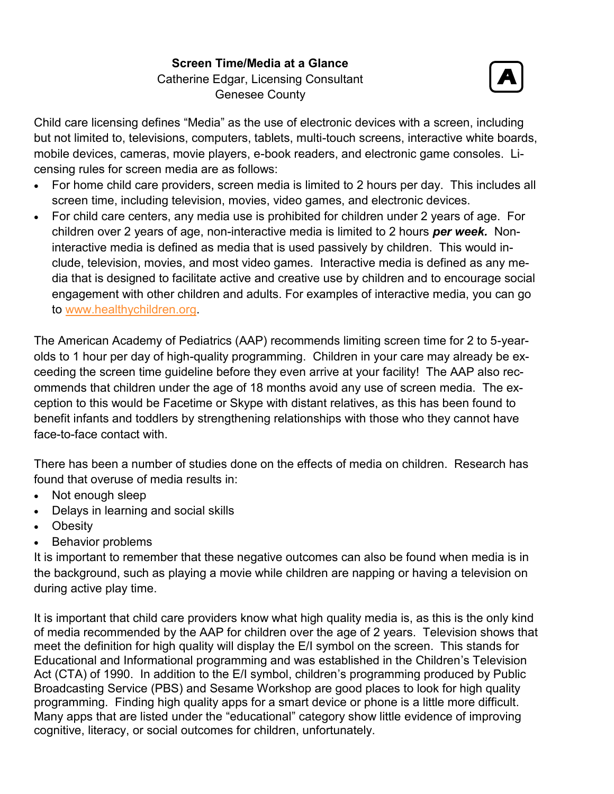**Screen Time/Media at a Glance** Catherine Edgar, Licensing Consultant Genesee County



Child care licensing defines "Media" as the use of electronic devices with a screen, including but not limited to, televisions, computers, tablets, multi-touch screens, interactive white boards, mobile devices, cameras, movie players, e-book readers, and electronic game consoles. Licensing rules for screen media are as follows:

- For home child care providers, screen media is limited to 2 hours per day. This includes all screen time, including television, movies, video games, and electronic devices.
- For child care centers, any media use is prohibited for children under 2 years of age. For children over 2 years of age, non-interactive media is limited to 2 hours *per week.* Noninteractive media is defined as media that is used passively by children. This would include, television, movies, and most video games. Interactive media is defined as any media that is designed to facilitate active and creative use by children and to encourage social engagement with other children and adults. For examples of interactive media, you can go to [www.healthychildren.org.](http://www.healthychildren.org)

The American Academy of Pediatrics (AAP) recommends limiting screen time for 2 to 5-yearolds to 1 hour per day of high-quality programming. Children in your care may already be exceeding the screen time guideline before they even arrive at your facility! The AAP also recommends that children under the age of 18 months avoid any use of screen media. The exception to this would be Facetime or Skype with distant relatives, as this has been found to benefit infants and toddlers by strengthening relationships with those who they cannot have face-to-face contact with.

There has been a number of studies done on the effects of media on children. Research has found that overuse of media results in:

- Not enough sleep
- Delays in learning and social skills
- Obesity
- Behavior problems

It is important to remember that these negative outcomes can also be found when media is in the background, such as playing a movie while children are napping or having a television on during active play time.

It is important that child care providers know what high quality media is, as this is the only kind of media recommended by the AAP for children over the age of 2 years. Television shows that meet the definition for high quality will display the E/I symbol on the screen. This stands for Educational and Informational programming and was established in the Children's Television Act (CTA) of 1990. In addition to the E/I symbol, children's programming produced by Public Broadcasting Service (PBS) and Sesame Workshop are good places to look for high quality programming. Finding high quality apps for a smart device or phone is a little more difficult. Many apps that are listed under the "educational" category show little evidence of improving cognitive, literacy, or social outcomes for children, unfortunately.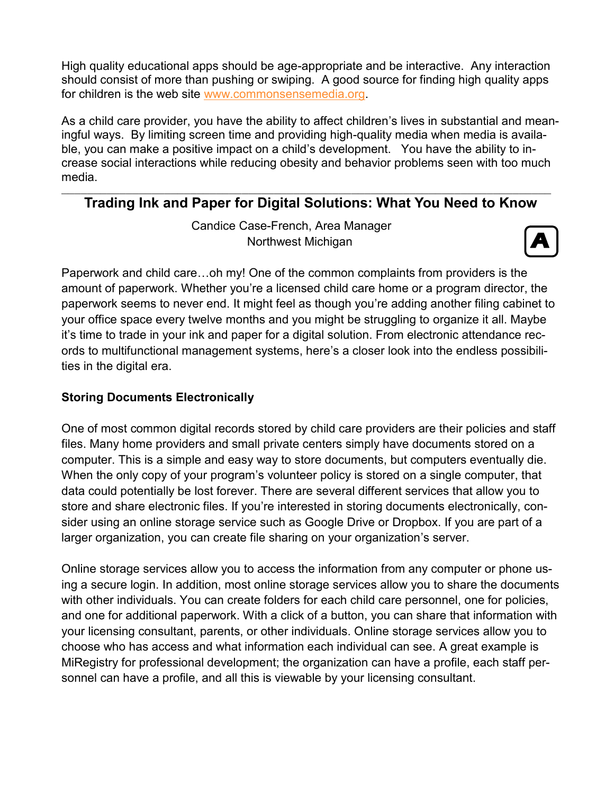High quality educational apps should be age-appropriate and be interactive. Any interaction should consist of more than pushing or swiping. A good source for finding high quality apps for children is the web site [www.commonsensemedia.org.](http://www.commonsensemedia.org) 

As a child care provider, you have the ability to affect children's lives in substantial and meaningful ways. By limiting screen time and providing high-quality media when media is available, you can make a positive impact on a child's development. You have the ability to increase social interactions while reducing obesity and behavior problems seen with too much media.

#### \_\_\_\_\_\_\_\_\_\_\_\_\_\_\_\_\_\_\_\_\_\_\_\_\_\_\_\_\_\_\_\_\_\_\_\_\_\_\_\_\_\_\_\_\_\_\_\_\_\_\_\_\_\_\_\_\_\_\_\_\_\_\_\_\_\_\_\_\_\_\_\_\_\_\_\_ **Trading Ink and Paper for Digital Solutions: What You Need to Know**

Candice Case-French, Area Manager Northwest Michigan



Paperwork and child care…oh my! One of the common complaints from providers is the amount of paperwork. Whether you're a licensed child care home or a program director, the paperwork seems to never end. It might feel as though you're adding another filing cabinet to your office space every twelve months and you might be struggling to organize it all. Maybe it's time to trade in your ink and paper for a digital solution. From electronic attendance records to multifunctional management systems, here's a closer look into the endless possibilities in the digital era.

# **Storing Documents Electronically**

One of most common digital records stored by child care providers are their policies and staff files. Many home providers and small private centers simply have documents stored on a computer. This is a simple and easy way to store documents, but computers eventually die. When the only copy of your program's volunteer policy is stored on a single computer, that data could potentially be lost forever. There are several different services that allow you to store and share electronic files. If you're interested in storing documents electronically, consider using an online storage service such as Google Drive or Dropbox. If you are part of a larger organization, you can create file sharing on your organization's server.

Online storage services allow you to access the information from any computer or phone using a secure login. In addition, most online storage services allow you to share the documents with other individuals. You can create folders for each child care personnel, one for policies, and one for additional paperwork. With a click of a button, you can share that information with your licensing consultant, parents, or other individuals. Online storage services allow you to choose who has access and what information each individual can see. A great example is MiRegistry for professional development; the organization can have a profile, each staff personnel can have a profile, and all this is viewable by your licensing consultant.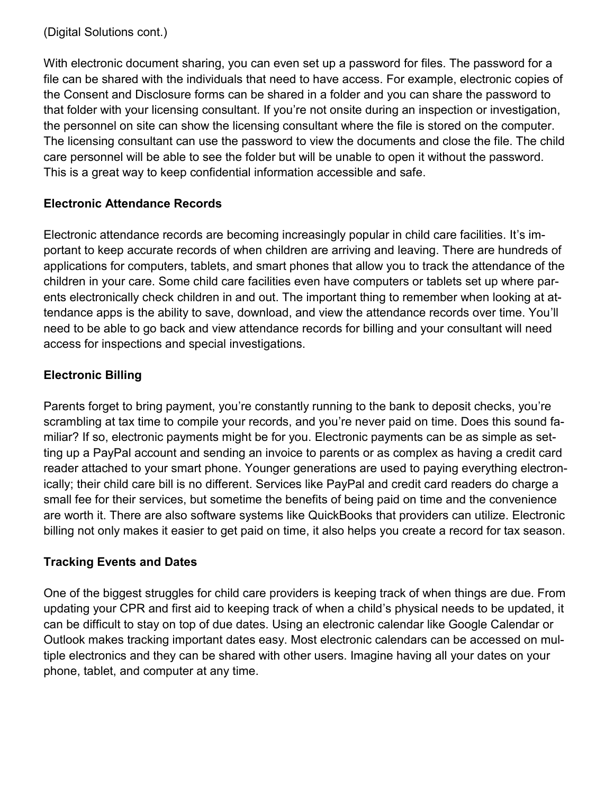With electronic document sharing, you can even set up a password for files. The password for a file can be shared with the individuals that need to have access. For example, electronic copies of the Consent and Disclosure forms can be shared in a folder and you can share the password to that folder with your licensing consultant. If you're not onsite during an inspection or investigation, the personnel on site can show the licensing consultant where the file is stored on the computer. The licensing consultant can use the password to view the documents and close the file. The child care personnel will be able to see the folder but will be unable to open it without the password. This is a great way to keep confidential information accessible and safe.

# **Electronic Attendance Records**

Electronic attendance records are becoming increasingly popular in child care facilities. It's important to keep accurate records of when children are arriving and leaving. There are hundreds of applications for computers, tablets, and smart phones that allow you to track the attendance of the children in your care. Some child care facilities even have computers or tablets set up where parents electronically check children in and out. The important thing to remember when looking at attendance apps is the ability to save, download, and view the attendance records over time. You'll need to be able to go back and view attendance records for billing and your consultant will need access for inspections and special investigations.

# **Electronic Billing**

Parents forget to bring payment, you're constantly running to the bank to deposit checks, you're scrambling at tax time to compile your records, and you're never paid on time. Does this sound familiar? If so, electronic payments might be for you. Electronic payments can be as simple as setting up a PayPal account and sending an invoice to parents or as complex as having a credit card reader attached to your smart phone. Younger generations are used to paying everything electronically; their child care bill is no different. Services like PayPal and credit card readers do charge a small fee for their services, but sometime the benefits of being paid on time and the convenience are worth it. There are also software systems like QuickBooks that providers can utilize. Electronic billing not only makes it easier to get paid on time, it also helps you create a record for tax season.

# **Tracking Events and Dates**

One of the biggest struggles for child care providers is keeping track of when things are due. From updating your CPR and first aid to keeping track of when a child's physical needs to be updated, it can be difficult to stay on top of due dates. Using an electronic calendar like Google Calendar or Outlook makes tracking important dates easy. Most electronic calendars can be accessed on multiple electronics and they can be shared with other users. Imagine having all your dates on your phone, tablet, and computer at any time.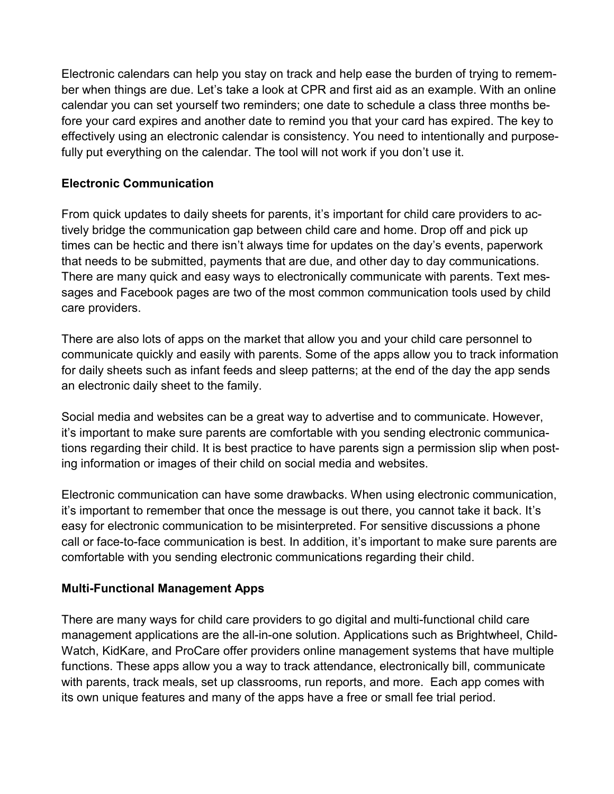Electronic calendars can help you stay on track and help ease the burden of trying to remember when things are due. Let's take a look at CPR and first aid as an example. With an online calendar you can set yourself two reminders; one date to schedule a class three months before your card expires and another date to remind you that your card has expired. The key to effectively using an electronic calendar is consistency. You need to intentionally and purposefully put everything on the calendar. The tool will not work if you don't use it.

# **Electronic Communication**

From quick updates to daily sheets for parents, it's important for child care providers to actively bridge the communication gap between child care and home. Drop off and pick up times can be hectic and there isn't always time for updates on the day's events, paperwork that needs to be submitted, payments that are due, and other day to day communications. There are many quick and easy ways to electronically communicate with parents. Text messages and Facebook pages are two of the most common communication tools used by child care providers.

There are also lots of apps on the market that allow you and your child care personnel to communicate quickly and easily with parents. Some of the apps allow you to track information for daily sheets such as infant feeds and sleep patterns; at the end of the day the app sends an electronic daily sheet to the family.

Social media and websites can be a great way to advertise and to communicate. However, it's important to make sure parents are comfortable with you sending electronic communications regarding their child. It is best practice to have parents sign a permission slip when posting information or images of their child on social media and websites.

Electronic communication can have some drawbacks. When using electronic communication, it's important to remember that once the message is out there, you cannot take it back. It's easy for electronic communication to be misinterpreted. For sensitive discussions a phone call or face-to-face communication is best. In addition, it's important to make sure parents are comfortable with you sending electronic communications regarding their child.

## **Multi-Functional Management Apps**

There are many ways for child care providers to go digital and multi-functional child care management applications are the all-in-one solution. Applications such as Brightwheel, Child-Watch, KidKare, and ProCare offer providers online management systems that have multiple functions. These apps allow you a way to track attendance, electronically bill, communicate with parents, track meals, set up classrooms, run reports, and more. Each app comes with its own unique features and many of the apps have a free or small fee trial period.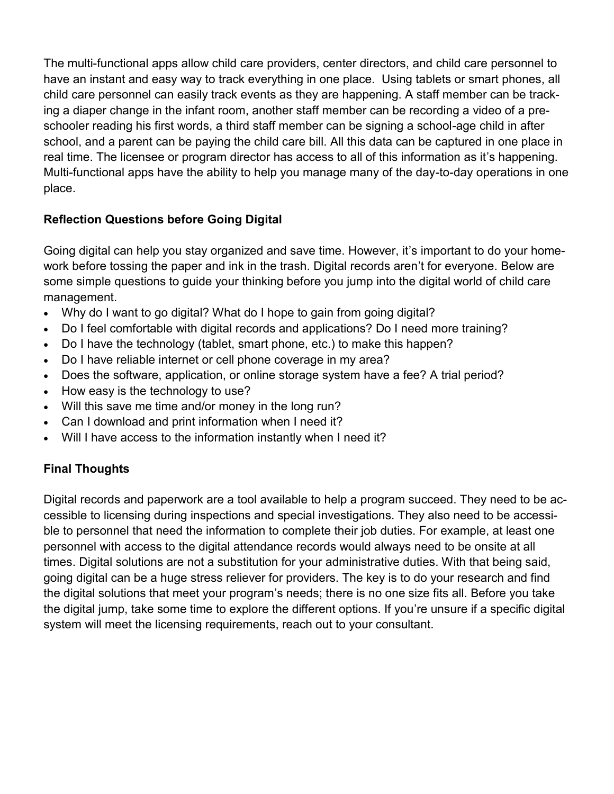The multi-functional apps allow child care providers, center directors, and child care personnel to have an instant and easy way to track everything in one place. Using tablets or smart phones, all child care personnel can easily track events as they are happening. A staff member can be tracking a diaper change in the infant room, another staff member can be recording a video of a preschooler reading his first words, a third staff member can be signing a school-age child in after school, and a parent can be paying the child care bill. All this data can be captured in one place in real time. The licensee or program director has access to all of this information as it's happening. Multi-functional apps have the ability to help you manage many of the day-to-day operations in one place.

# **Reflection Questions before Going Digital**

Going digital can help you stay organized and save time. However, it's important to do your homework before tossing the paper and ink in the trash. Digital records aren't for everyone. Below are some simple questions to guide your thinking before you jump into the digital world of child care management.

- Why do I want to go digital? What do I hope to gain from going digital?
- Do I feel comfortable with digital records and applications? Do I need more training?
- Do I have the technology (tablet, smart phone, etc.) to make this happen?
- Do I have reliable internet or cell phone coverage in my area?
- Does the software, application, or online storage system have a fee? A trial period?
- How easy is the technology to use?
- Will this save me time and/or money in the long run?
- Can I download and print information when I need it?
- Will I have access to the information instantly when I need it?

# **Final Thoughts**

Digital records and paperwork are a tool available to help a program succeed. They need to be accessible to licensing during inspections and special investigations. They also need to be accessible to personnel that need the information to complete their job duties. For example, at least one personnel with access to the digital attendance records would always need to be onsite at all times. Digital solutions are not a substitution for your administrative duties. With that being said, going digital can be a huge stress reliever for providers. The key is to do your research and find the digital solutions that meet your program's needs; there is no one size fits all. Before you take the digital jump, take some time to explore the different options. If you're unsure if a specific digital system will meet the licensing requirements, reach out to your consultant.